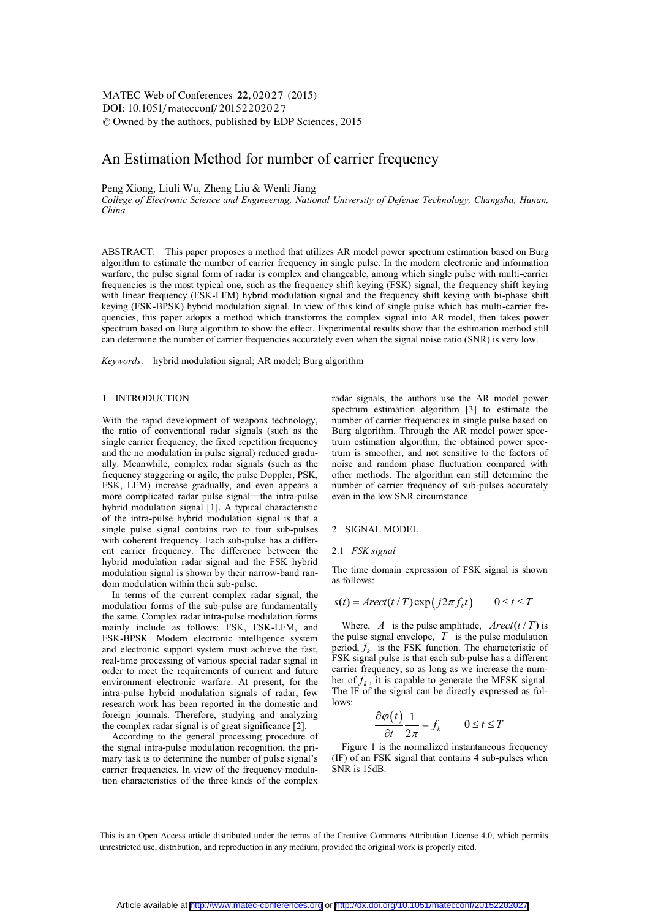DOI:  $10.1051/\text{mateconf}/20152202027$ -<sup>C</sup> Owned by the authors, published by EDP Sciences, 2015 MATEC Web of Conferences 22,02027 (2015)

# An Estimation Method for number of carrier frequency

Peng Xiong, Liuli Wu, Zheng Liu & Wenli Jiang

*College of Electronic Science and Engineering, National University of Defense Technology, Changsha, Hunan, China* 

ABSTRACT: This paper proposes a method that utilizes AR model power spectrum estimation based on Burg algorithm to estimate the number of carrier frequency in single pulse. In the modern electronic and information warfare, the pulse signal form of radar is complex and changeable, among which single pulse with multi-carrier frequencies is the most typical one, such as the frequency shift keying (FSK) signal, the frequency shift keying with linear frequency (FSK-LFM) hybrid modulation signal and the frequency shift keying with bi-phase shift keying (FSK-BPSK) hybrid modulation signal. In view of this kind of single pulse which has multi-carrier frequencies, this paper adopts a method which transforms the complex signal into AR model, then takes power spectrum based on Burg algorithm to show the effect. Experimental results show that the estimation method still can determine the number of carrier frequencies accurately even when the signal noise ratio (SNR) is very low.

*Keywords*: hybrid modulation signal; AR model; Burg algorithm

## 1 INTRODUCTION

With the rapid development of weapons technology, the ratio of conventional radar signals (such as the single carrier frequency, the fixed repetition frequency and the no modulation in pulse signal) reduced gradually. Meanwhile, complex radar signals (such as the frequency staggering or agile, the pulse Doppler, PSK, FSK, LFM) increase gradually, and even appears a more complicated radar pulse signal—the intra-pulse hybrid modulation signal [1]. A typical characteristic of the intra-pulse hybrid modulation signal is that a single pulse signal contains two to four sub-pulses with coherent frequency. Each sub-pulse has a different carrier frequency. The difference between the hybrid modulation radar signal and the FSK hybrid modulation signal is shown by their narrow-band random modulation within their sub-pulse.

In terms of the current complex radar signal, the modulation forms of the sub-pulse are fundamentally the same. Complex radar intra-pulse modulation forms mainly include as follows: FSK, FSK-LFM, and FSK-BPSK. Modern electronic intelligence system and electronic support system must achieve the fast, real-time processing of various special radar signal in order to meet the requirements of current and future environment electronic warfare. At present, for the intra-pulse hybrid modulation signals of radar, few research work has been reported in the domestic and foreign journals. Therefore, studying and analyzing the complex radar signal is of great significance [2].

According to the general processing procedure of the signal intra-pulse modulation recognition, the primary task is to determine the number of pulse signal's carrier frequencies. In view of the frequency modulation characteristics of the three kinds of the complex

radar signals, the authors use the AR model power spectrum estimation algorithm [3] to estimate the number of carrier frequencies in single pulse based on Burg algorithm. Through the AR model power spectrum estimation algorithm, the obtained power spectrum is smoother, and not sensitive to the factors of noise and random phase fluctuation compared with other methods. The algorithm can still determine the number of carrier frequency of sub-pulses accurately even in the low SNR circumstance.

### 2 SIGNAL MODEL

### 2.1 *FSK signal*

The time domain expression of FSK signal is shown as follows:

$$
s(t) = Arect(t/T) \exp(j2\pi f_k t) \qquad 0 \le t \le T
$$

Where, *A* is the pulse amplitude,  $Arect(t/T)$  is the pulse signal envelope,  $T$  is the pulse modulation period,  $f_k$  is the FSK function. The characteristic of FSK signal pulse is that each sub-pulse has a different carrier frequency, so as long as we increase the number of  $f_k$ , it is capable to generate the MFSK signal. The IF of the signal can be directly expressed as follows:

$$
\frac{\partial \varphi(t)}{\partial t} \frac{1}{2\pi} = f_k \qquad 0 \le t \le T
$$

Figure 1 is the normalized instantaneous frequency (IF) of an FSK signal that contains 4 sub-pulses when SNR is 15dB.

This is an Open Access article distributed under the terms of the Creative Commons Attribution License 4.0, which permits unrestricted use, distribution, and reproduction in any medium, provided the original work is properly cited.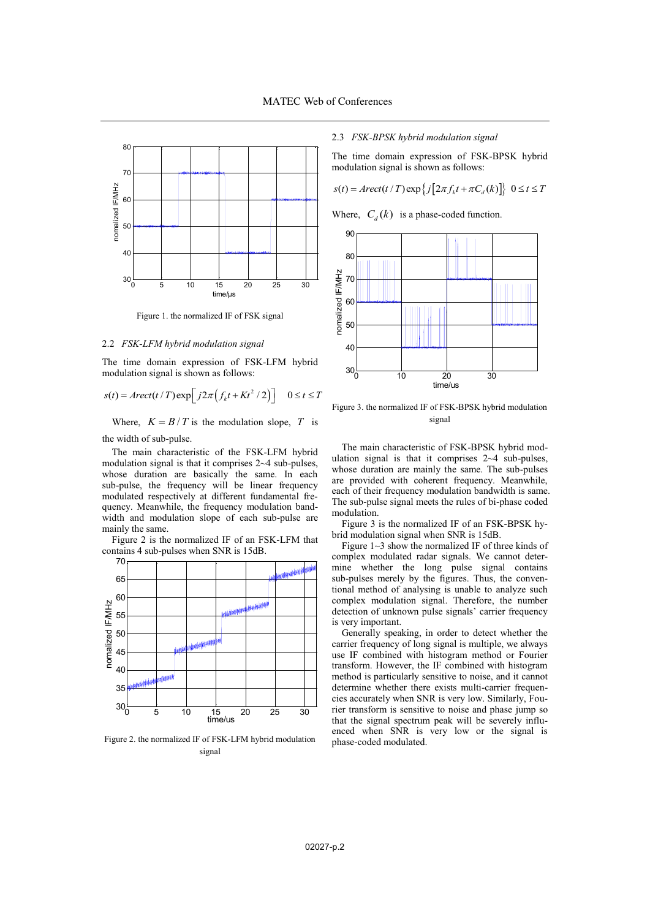

Figure 1. the normalized IF of FSK signal

### 2.2 *FSK-LFM hybrid modulation signal*

The time domain expression of FSK-LFM hybrid modulation signal is shown as follows:

 $s(t) = Arect(t/T) \exp\left[j2\pi \left(f_k t + Kt^2/2\right)\right]$   $0 \le t \le T$ 

Where,  $K = B/T$  is the modulation slope, T is the width of sub-pulse.

The main characteristic of the FSK-LFM hybrid modulation signal is that it comprises 2~4 sub-pulses, whose duration are basically the same. In each sub-pulse, the frequency will be linear frequency modulated respectively at different fundamental frequency. Meanwhile, the frequency modulation bandwidth and modulation slope of each sub-pulse are mainly the same.

Figure 2 is the normalized IF of an FSK-LFM that contains 4 sub-pulses when SNR is 15dB.



Figure 2. the normalized IF of FSK-LFM hybrid modulation signal

# 2.3 *FSK-BPSK hybrid modulation signal*

The time domain expression of FSK-BPSK hybrid modulation signal is shown as follows:

$$
s(t) = Arect(t/T) \exp \left\{ j \left[ 2\pi f_k t + \pi C_d(k) \right] \right\} \ 0 \le t \le T
$$

Where,  $C_d(k)$  is a phase-coded function.



Figure 3. the normalized IF of FSK-BPSK hybrid modulation signal

The main characteristic of FSK-BPSK hybrid modulation signal is that it comprises 2~4 sub-pulses, whose duration are mainly the same. The sub-pulses are provided with coherent frequency. Meanwhile, each of their frequency modulation bandwidth is same. The sub-pulse signal meets the rules of bi-phase coded modulation.

Figure 3 is the normalized IF of an FSK-BPSK hybrid modulation signal when SNR is 15dB.

Figure 1~3 show the normalized IF of three kinds of complex modulated radar signals. We cannot determine whether the long pulse signal contains sub-pulses merely by the figures. Thus, the conventional method of analysing is unable to analyze such complex modulation signal. Therefore, the number detection of unknown pulse signals' carrier frequency is very important.

Generally speaking, in order to detect whether the carrier frequency of long signal is multiple, we always use IF combined with histogram method or Fourier transform. However, the IF combined with histogram method is particularly sensitive to noise, and it cannot determine whether there exists multi-carrier frequencies accurately when SNR is very low. Similarly, Fourier transform is sensitive to noise and phase jump so that the signal spectrum peak will be severely influenced when SNR is very low or the signal is phase-coded modulated.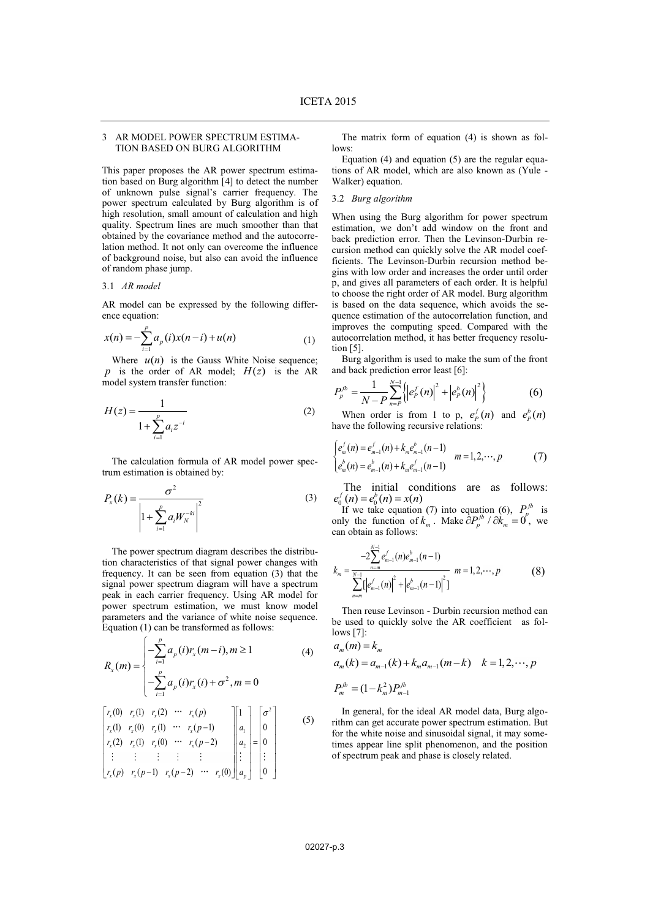# 3 AR MODEL POWER SPECTRUM ESTIMA-TION BASED ON BURG ALGORITHM

This paper proposes the AR power spectrum estimation based on Burg algorithm [4] to detect the number of unknown pulse signal's carrier frequency. The power spectrum calculated by Burg algorithm is of high resolution, small amount of calculation and high quality. Spectrum lines are much smoother than that obtained by the covariance method and the autocorrelation method. It not only can overcome the influence of background noise, but also can avoid the influence of random phase jump.

### 3.1 *AR model*

AR model can be expressed by the following difference equation:

$$
x(n) = -\sum_{i=1}^{p} a_p(i)x(n-i) + u(n)
$$
 (1)

Where  $u(n)$  is the Gauss White Noise sequence;  $p$  is the order of AR model;  $H(z)$  is the AR model system transfer function:

$$
H(z) = \frac{1}{1 + \sum_{i=1}^{p} a_i z^{-i}}
$$
 (2)

The calculation formula of AR model power spectrum estimation is obtained by:

$$
P_x(k) = \frac{\sigma^2}{\left| 1 + \sum_{i=1}^{p} a_i W_N^{-ki} \right|^2}
$$
 (3)

The power spectrum diagram describes the distribution characteristics of that signal power changes with frequency. It can be seen from equation (3) that the signal power spectrum diagram will have a spectrum peak in each carrier frequency. Using AR model for power spectrum estimation, we must know model parameters and the variance of white noise sequence. Equation (1) can be transformed as follows:

$$
R_{x}(m) = \begin{cases} -\sum_{i=1}^{p} a_{p}(i)r_{x}(m-i), m \ge 1\\ -\sum_{i=1}^{p} a_{p}(i)r_{x}(i) + \sigma^{2}, m = 0 \end{cases}
$$
(4)

$$
\begin{bmatrix} r_x(0) & r_x(1) & r_x(2) & \cdots & r_x(p) \\ r_x(1) & r_x(0) & r_x(1) & \cdots & r_x(p-1) \\ r_x(2) & r_x(1) & r_x(0) & \cdots & r_x(p-2) \\ \vdots & \vdots & \vdots & \vdots & \vdots \\ r_x(p) & r_x(p-1) & r_x(p-2) & \cdots & r_x(0) \end{bmatrix} \begin{bmatrix} 1 \\ a_1 \\ a_2 \\ \vdots \\ a_p \end{bmatrix} = \begin{bmatrix} \sigma^2 \\ 0 \\ 0 \\ \vdots \\ 0 \end{bmatrix}
$$
 (5)

The matrix form of equation (4) is shown as follows:

Equation (4) and equation (5) are the regular equations of AR model, which are also known as (Yule - Walker) equation.

# 3.2 *Burg algorithm*

When using the Burg algorithm for power spectrum estimation, we don't add window on the front and back prediction error. Then the Levinson-Durbin recursion method can quickly solve the AR model coefficients. The Levinson-Durbin recursion method begins with low order and increases the order until order p, and gives all parameters of each order. It is helpful to choose the right order of AR model. Burg algorithm is based on the data sequence, which avoids the sequence estimation of the autocorrelation function, and improves the computing speed. Compared with the autocorrelation method, it has better frequency resolution [5].

Burg algorithm is used to make the sum of the front and back prediction error least [6]:

$$
P_p^{fb} = \frac{1}{N - P} \sum_{n = P}^{N - 1} \left\{ \left| e_p^f(n) \right|^2 + \left| e_p^b(n) \right|^2 \right\} \tag{6}
$$

When order is from 1 to p,  $e_p^f(n)$  and  $e_p^b(n)$ have the following recursive relations:

$$
\begin{cases} e_m^f(n) = e_{m-1}^f(n) + k_m e_{m-1}^b(n-1) \\ e_m^h(n) = e_{m-1}^h(n) + k_m e_{m-1}^f(n-1) \end{cases} \quad m = 1, 2, \cdots, p \tag{7}
$$

The initial conditions are as follows:<br> $e_0^f(n) = e_0^b(n) = x(n)$  $e_0^f(n) = e_0^b(n) = x(n)$ <br>If we take equation (7) into equation (6),  $P_p^{fb}$  is

only the function of  $k_m$ . Make  $\partial P_p^{fb} / \partial k_m = 0$ , we can obtain as follows:

$$
k_{m} = \frac{-2\sum_{n=m}^{N-1} e_{m-1}^{f}(n)e_{m-1}^{b}(n-1)}{\sum_{n=m}^{N-1} \left[e_{m-1}^{f}(n)\right]^{2} + \left|e_{m-1}^{b}(n-1)\right|^{2}\right]} m = 1, 2, \cdots, p \tag{8}
$$

Then reuse Levinson - Durbin recursion method can be used to quickly solve the AR coefficient as follows [7]:

$$
a_m(m) = k_m
$$
  
\n
$$
a_m(k) = a_{m-1}(k) + k_m a_{m-1}(m-k) \quad k = 1, 2, \dots, p
$$
  
\n
$$
P_m^{fb} = (1 - k_m^2) P_{m-1}^{fb}
$$

In general, for the ideal AR model data, Burg algorithm can get accurate power spectrum estimation. But for the white noise and sinusoidal signal, it may sometimes appear line split phenomenon, and the position of spectrum peak and phase is closely related.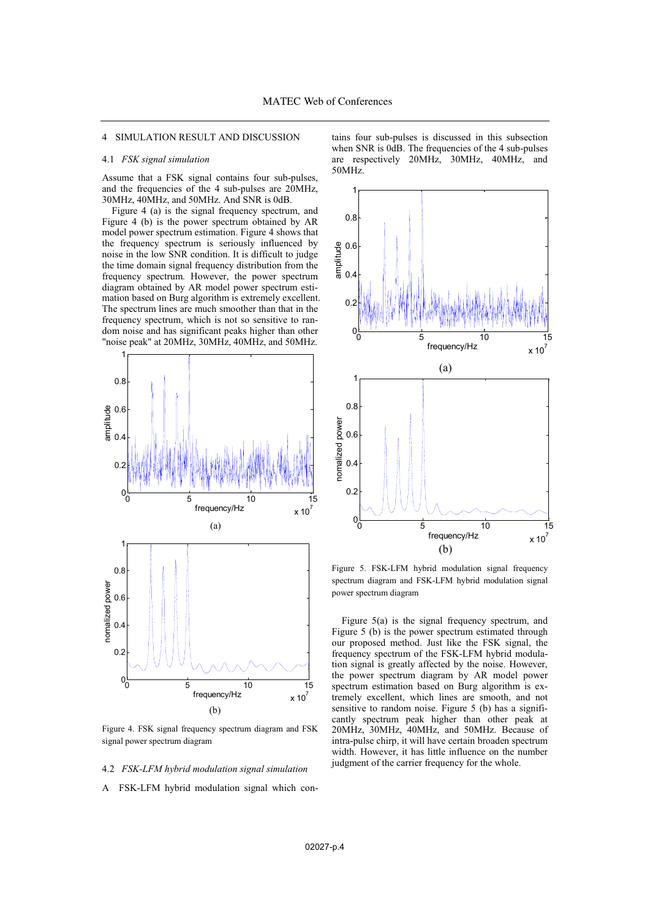# 4 SIMULATION RESULT AND DISCUSSION

# 4.1 *FSK signal simulation*

Assume that a FSK signal contains four sub-pulses, and the frequencies of the 4 sub-pulses are 20MHz, 30MHz, 40MHz, and 50MHz. And SNR is 0dB.

Figure 4 (a) is the signal frequency spectrum, and Figure 4 (b) is the power spectrum obtained by AR model power spectrum estimation. Figure 4 shows that the frequency spectrum is seriously influenced by noise in the low SNR condition. It is difficult to judge the time domain signal frequency distribution from the frequency spectrum. However, the power spectrum diagram obtained by AR model power spectrum estimation based on Burg algorithm is extremely excellent. The spectrum lines are much smoother than that in the frequency spectrum, which is not so sensitive to random noise and has significant peaks higher than other "noise peak" at 20MHz, 30MHz, 40MHz, and 50MHz.



Figure 4. FSK signal frequency spectrum diagram and FSK signal power spectrum diagram

# 4.2 *FSK-LFM hybrid modulation signal simulation*

A FSK-LFM hybrid modulation signal which con-

tains four sub-pulses is discussed in this subsection when SNR is 0dB. The frequencies of the 4 sub-pulses are respectively 20MHz, 30MHz, 40MHz, and 50MHz.



Figure 5. FSK-LFM hybrid modulation signal frequency spectrum diagram and FSK-LFM hybrid modulation signal power spectrum diagram

Figure 5(a) is the signal frequency spectrum, and Figure 5 (b) is the power spectrum estimated through our proposed method. Just like the FSK signal, the frequency spectrum of the FSK-LFM hybrid modulation signal is greatly affected by the noise. However, the power spectrum diagram by AR model power spectrum estimation based on Burg algorithm is extremely excellent, which lines are smooth, and not sensitive to random noise. Figure 5 (b) has a significantly spectrum peak higher than other peak at 20MHz, 30MHz, 40MHz, and 50MHz. Because of intra-pulse chirp, it will have certain broaden spectrum width. However, it has little influence on the number judgment of the carrier frequency for the whole.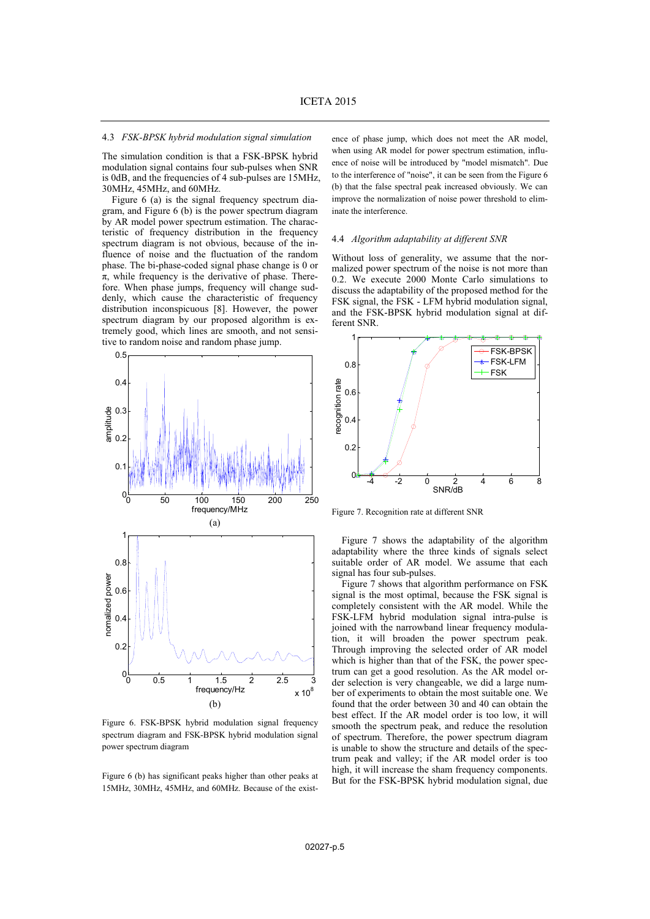# 4.3 *FSK-BPSK hybrid modulation signal simulation*

The simulation condition is that a FSK-BPSK hybrid modulation signal contains four sub-pulses when SNR is 0dB, and the frequencies of 4 sub-pulses are 15MHz, 30MHz, 45MHz, and 60MHz.

Figure 6 (a) is the signal frequency spectrum diagram, and Figure 6 (b) is the power spectrum diagram by AR model power spectrum estimation. The characteristic of frequency distribution in the frequency spectrum diagram is not obvious, because of the influence of noise and the fluctuation of the random phase. The bi-phase-coded signal phase change is 0 or  $\pi$ , while frequency is the derivative of phase. Therefore. When phase jumps, frequency will change suddenly, which cause the characteristic of frequency distribution inconspicuous [8]. However, the power spectrum diagram by our proposed algorithm is extremely good, which lines are smooth, and not sensitive to random noise and random phase jump.



Figure 6. FSK-BPSK hybrid modulation signal frequency spectrum diagram and FSK-BPSK hybrid modulation signal power spectrum diagram

Figure 6 (b) has significant peaks higher than other peaks at 15MHz, 30MHz, 45MHz, and 60MHz. Because of the existence of phase jump, which does not meet the AR model, when using AR model for power spectrum estimation, influence of noise will be introduced by "model mismatch". Due to the interference of "noise", it can be seen from the Figure 6 (b) that the false spectral peak increased obviously. We can improve the normalization of noise power threshold to eliminate the interference.

# 4.4 *Algorithm adaptability at different SNR*

Without loss of generality, we assume that the normalized power spectrum of the noise is not more than 0.2. We execute 2000 Monte Carlo simulations to discuss the adaptability of the proposed method for the FSK signal, the FSK - LFM hybrid modulation signal, and the FSK-BPSK hybrid modulation signal at different SNR.



Figure 7. Recognition rate at different SNR

Figure 7 shows the adaptability of the algorithm adaptability where the three kinds of signals select suitable order of AR model. We assume that each signal has four sub-pulses.

Figure 7 shows that algorithm performance on FSK signal is the most optimal, because the FSK signal is completely consistent with the AR model. While the FSK-LFM hybrid modulation signal intra-pulse is joined with the narrowband linear frequency modulation, it will broaden the power spectrum peak. Through improving the selected order of AR model which is higher than that of the FSK, the power spectrum can get a good resolution. As the AR model order selection is very changeable, we did a large number of experiments to obtain the most suitable one. We found that the order between 30 and 40 can obtain the best effect. If the AR model order is too low, it will smooth the spectrum peak, and reduce the resolution of spectrum. Therefore, the power spectrum diagram is unable to show the structure and details of the spectrum peak and valley; if the AR model order is too high, it will increase the sham frequency components. But for the FSK-BPSK hybrid modulation signal, due